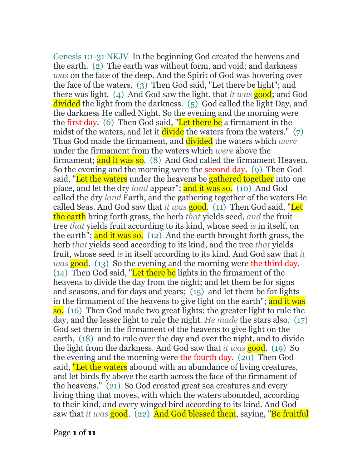Genesis 1:1-31 NKJV In the beginning God created the heavens and the earth. (2) The earth was without form, and void; and darkness *was* on the face of the deep. And the Spirit of God was hovering over the face of the waters. (3) Then God said, "Let there be light"; and there was light. (4) And God saw the light, that *it was* good; and God divided the light from the darkness. (5) God called the light Day, and the darkness He called Night. So the evening and the morning were the first day. (6) Then God said, "Let there be a firmament in the midst of the waters, and let it  $divide$  the waters from the waters." (7) Thus God made the firmament, and divided the waters which *were* under the firmament from the waters which *were* above the firmament; and it was so. (8) And God called the firmament Heaven. So the evening and the morning were the second day. (9) Then God said. "Let the waters under the heavens be **gathered together** into one place, and let the dry *land* appear"; and it was so. (10) And God called the dry *land* Earth, and the gathering together of the waters He called Seas. And God saw that *it was* good. (11) Then God said, "Let the earth bring forth grass, the herb *that* yields seed, *and* the fruit tree *that* yields fruit according to its kind, whose seed *is* in itself, on the earth"; and it was so. (12) And the earth brought forth grass, the herb *that* yields seed according to its kind, and the tree *that* yields fruit, whose seed *is* in itself according to its kind. And God saw that *it was* **good.** (13) So the evening and the morning were the third day.  $(14)$  Then God said, "Let there be lights in the firmament of the heavens to divide the day from the night; and let them be for signs and seasons, and for days and years; (15) and let them be for lights in the firmament of the heavens to give light on the earth"; and it was so. (16) Then God made two great lights: the greater light to rule the day, and the lesser light to rule the night. *He made* the stars also. (17) God set them in the firmament of the heavens to give light on the earth, (18) and to rule over the day and over the night, and to divide the light from the darkness. And God saw that *it was* good. (19) So the evening and the morning were the fourth day. (20) Then God said, "Let the waters abound with an abundance of living creatures, and let birds fly above the earth across the face of the firmament of the heavens." (21) So God created great sea creatures and every living thing that moves, with which the waters abounded, according to their kind, and every winged bird according to its kind. And God saw that *it was* good. (22) And God blessed them, saying, "Be fruitful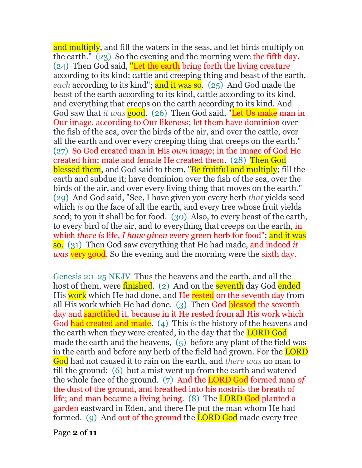and multiply, and fill the waters in the seas, and let birds multiply on the earth." (23) So the evening and the morning were the fifth day. (24) Then God said, "Let the earth bring forth the living creature according to its kind: cattle and creeping thing and beast of the earth, *each* according to its kind"; and it was so. (25) And God made the beast of the earth according to its kind, cattle according to its kind, and everything that creeps on the earth according to its kind. And God saw that *it was* good. (26) Then God said, "Let Us make man in Our image, according to Our likeness; let them have dominion over the fish of the sea, over the birds of the air, and over the cattle, over all the earth and over every creeping thing that creeps on the earth." (27) So God created man in His *own* image; in the image of God He created him; male and female He created them. (28) Then God blessed them, and God said to them, "Be fruitful and multiply; fill the earth and subdue it; have dominion over the fish of the sea, over the birds of the air, and over every living thing that moves on the earth." (29) And God said, "See, I have given you every herb *that* yields seed which *is* on the face of all the earth, and every tree whose fruit yields seed; to you it shall be for food. (30) Also, to every beast of the earth, to every bird of the air, and to everything that creeps on the earth, in which *there is* life, *I have given* every green herb for food"; and it was so. (31) Then God saw everything that He had made, and indeed *it was* very good. So the evening and the morning were the sixth day.

Genesis 2:1-25 NKJV Thus the heavens and the earth, and all the host of them, were **finished.** (2) And on the **seventh** day God ended His work which He had done, and He rested on the seventh day from all His work which He had done. (3) Then God blessed the seventh day and **sanctified** it, because in it He rested from all His work which God had created and made. (4) This *is* the history of the heavens and the earth when they were created, in the day that the **LORD God** made the earth and the heavens, (5) before any plant of the field was in the earth and before any herb of the field had grown. For the **LORD** God had not caused it to rain on the earth, and *there was* no man to till the ground; (6) but a mist went up from the earth and watered the whole face of the ground. (7) And the LORD God formed man *of* the dust of the ground, and breathed into his nostrils the breath of life; and man became a living being. (8) The **LORD God** planted a garden eastward in Eden, and there He put the man whom He had formed. (9) And out of the ground the **LORD God** made every tree

Page **2** of **11**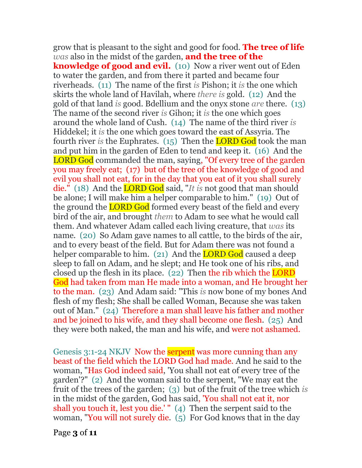grow that is pleasant to the sight and good for food. **The tree of life** *was* also in the midst of the garden, **and the tree of the knowledge of good and evil.** (10) Now a river went out of Eden to water the garden, and from there it parted and became four riverheads. (11) The name of the first *is* Pishon; it *is* the one which skirts the whole land of Havilah, where *there is* gold. (12) And the gold of that land *is* good. Bdellium and the onyx stone *are* there. (13) The name of the second river *is* Gihon; it *is* the one which goes around the whole land of Cush. (14) The name of the third river *is* Hiddekel; it *is* the one which goes toward the east of Assyria. The fourth river *is* the Euphrates. (15) Then the LORD God took the man and put him in the garden of Eden to tend and keep it. (16) And the LORD God commanded the man, saying, "Of every tree of the garden you may freely eat; (17) but of the tree of the knowledge of good and evil you shall not eat, for in the day that you eat of it you shall surely die." (18) And the LORD God said, "*It is* not good that man should be alone; I will make him a helper comparable to him." (19) Out of the ground the **LORD God** formed every beast of the field and every bird of the air, and brought *them* to Adam to see what he would call them. And whatever Adam called each living creature, that *was* its name. (20) So Adam gave names to all cattle, to the birds of the air, and to every beast of the field. But for Adam there was not found a helper comparable to him. (21) And the **LORD God** caused a deep sleep to fall on Adam, and he slept; and He took one of his ribs, and closed up the flesh in its place. (22) Then the rib which the LORD God had taken from man He made into a woman, and He brought her to the man. (23) And Adam said: "This *is* now bone of my bones And flesh of my flesh; She shall be called Woman, Because she was taken out of Man." (24) Therefore a man shall leave his father and mother and be joined to his wife, and they shall become one flesh. (25) And they were both naked, the man and his wife, and were not ashamed.

Genesis 3:1-24 NKJV Now the **serpent** was more cunning than any beast of the field which the LORD God had made. And he said to the woman, "Has God indeed said, 'You shall not eat of every tree of the garden'?" (2) And the woman said to the serpent, "We may eat the fruit of the trees of the garden; (3) but of the fruit of the tree which *is* in the midst of the garden, God has said, 'You shall not eat it, nor shall you touch it, lest you die.' " (4) Then the serpent said to the woman, "You will not surely die. (5) For God knows that in the day

Page **3** of **11**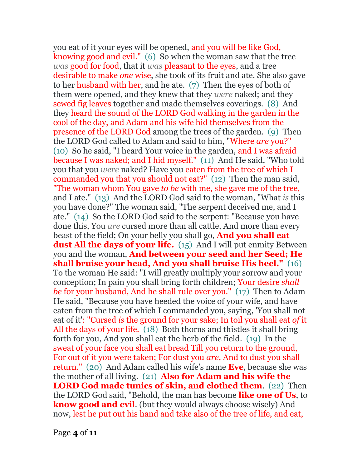you eat of it your eyes will be opened, and you will be like God, knowing good and evil." (6) So when the woman saw that the tree *was* good for food, that it *was* pleasant to the eyes, and a tree desirable to make *one* wise, she took of its fruit and ate. She also gave to her husband with her, and he ate. (7) Then the eyes of both of them were opened, and they knew that they *were* naked; and they sewed fig leaves together and made themselves coverings. (8) And they heard the sound of the LORD God walking in the garden in the cool of the day, and Adam and his wife hid themselves from the presence of the LORD God among the trees of the garden. (9) Then the LORD God called to Adam and said to him, "Where *are* you?" (10) So he said, "I heard Your voice in the garden, and I was afraid because I was naked; and I hid myself." (11) And He said, "Who told you that you *were* naked? Have you eaten from the tree of which I commanded you that you should not eat?" (12) Then the man said, "The woman whom You gave *to be* with me, she gave me of the tree, and I ate." (13) And the LORD God said to the woman, "What *is* this you have done?" The woman said, "The serpent deceived me, and I ate." (14) So the LORD God said to the serpent: "Because you have done this, You *are* cursed more than all cattle, And more than every beast of the field; On your belly you shall go, **And you shall eat**  dust All the days of your life. (15) And I will put enmity Between you and the woman, **And between your seed and her Seed; He shall bruise your head, And you shall bruise His heel."** (16) To the woman He said: "I will greatly multiply your sorrow and your conception; In pain you shall bring forth children; Your desire *shall be* for your husband, And he shall rule over you." (17) Then to Adam He said, "Because you have heeded the voice of your wife, and have eaten from the tree of which I commanded you, saying, 'You shall not eat of it': "Cursed *is* the ground for your sake; In toil you shall eat *of* it All the days of your life. (18) Both thorns and thistles it shall bring forth for you, And you shall eat the herb of the field. (19) In the sweat of your face you shall eat bread Till you return to the ground, For out of it you were taken; For dust you *are,* And to dust you shall return." (20) And Adam called his wife's name **Eve**, because she was the mother of all living. (21) **Also for Adam and his wife the LORD God made tunics of skin, and clothed them**. (22) Then the LORD God said, "Behold, the man has become **like one of Us**, to **know good and evil**. (but they would always choose wisely) And now, lest he put out his hand and take also of the tree of life, and eat,

Page **4** of **11**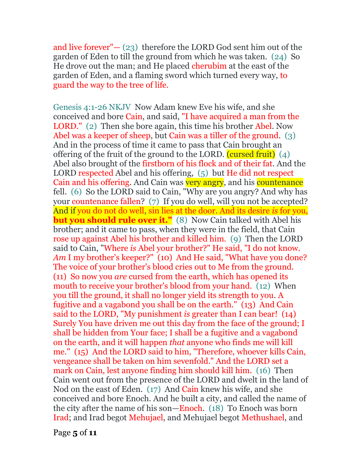and live forever" $-$  (23) therefore the LORD God sent him out of the garden of Eden to till the ground from which he was taken. (24) So He drove out the man; and He placed cherubim at the east of the garden of Eden, and a flaming sword which turned every way, to guard the way to the tree of life.

Genesis 4:1-26 NKJV Now Adam knew Eve his wife, and she conceived and bore Cain, and said, "I have acquired a man from the LORD." (2) Then she bore again, this time his brother Abel. Now Abel was a keeper of sheep, but Cain was a tiller of the ground. (3) And in the process of time it came to pass that Cain brought an offering of the fruit of the ground to the LORD.  $(cussed fruit)$  (4) Abel also brought of the firstborn of his flock and of their fat. And the LORD respected Abel and his offering, (5) but He did not respect Cain and his offering. And Cain was very angry, and his countenance fell. (6) So the LORD said to Cain, "Why are you angry? And why has your countenance fallen? (7) If you do well, will you not be accepted? And if you do not do well, sin lies at the door. And its desire *is* for you, **but you should rule over it."** (8) Now Cain talked with Abel his brother; and it came to pass, when they were in the field, that Cain rose up against Abel his brother and killed him. (9) Then the LORD said to Cain, "Where *is* Abel your brother?" He said, "I do not know. Am I my brother's keeper?" (10) And He said, "What have you done? The voice of your brother's blood cries out to Me from the ground. (11) So now you *are* cursed from the earth, which has opened its mouth to receive your brother's blood from your hand. (12) When you till the ground, it shall no longer yield its strength to you. A fugitive and a vagabond you shall be on the earth." (13) And Cain said to the LORD, "My punishment *is* greater than I can bear! (14) Surely You have driven me out this day from the face of the ground; I shall be hidden from Your face; I shall be a fugitive and a vagabond on the earth, and it will happen *that* anyone who finds me will kill me." (15) And the LORD said to him, "Therefore, whoever kills Cain, vengeance shall be taken on him sevenfold." And the LORD set a mark on Cain, lest anyone finding him should kill him. (16) Then Cain went out from the presence of the LORD and dwelt in the land of Nod on the east of Eden. (17) And Cain knew his wife, and she conceived and bore Enoch. And he built a city, and called the name of the city after the name of his son—Enoch. (18) To Enoch was born Irad; and Irad begot Mehujael, and Mehujael begot Methushael, and

Page **5** of **11**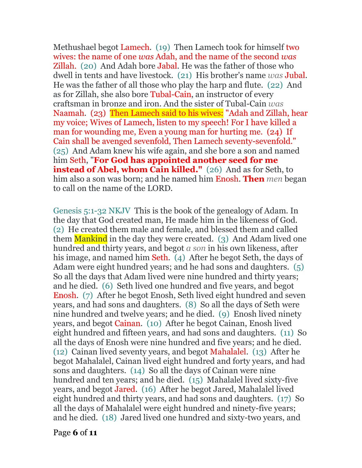Methushael begot Lamech. (19) Then Lamech took for himself two wives: the name of one *was* Adah, and the name of the second *was* Zillah. (20) And Adah bore Jabal. He was the father of those who dwell in tents and have livestock. (21) His brother's name *was* Jubal. He was the father of all those who play the harp and flute. (22) And as for Zillah, she also bore Tubal-Cain, an instructor of every craftsman in bronze and iron. And the sister of Tubal-Cain *was* Naamah. (23) Then Lamech said to his wives: "Adah and Zillah, hear my voice; Wives of Lamech, listen to my speech! For I have killed a man for wounding me, Even a young man for hurting me. (24) If Cain shall be avenged sevenfold, Then Lamech seventy-sevenfold." (25) And Adam knew his wife again, and she bore a son and named him Seth, "**For God has appointed another seed for me instead of Abel, whom Cain killed."** (26) And as for Seth, to him also a son was born; and he named him Enosh. **Then** *men* began to call on the name of the LORD.

Genesis 5:1-32 NKJV This is the book of the genealogy of Adam. In the day that God created man, He made him in the likeness of God. (2) He created them male and female, and blessed them and called them Mankind in the day they were created. (3) And Adam lived one hundred and thirty years, and begot *a son* in his own likeness, after his image, and named him Seth. (4) After he begot Seth, the days of Adam were eight hundred years; and he had sons and daughters. (5) So all the days that Adam lived were nine hundred and thirty years; and he died. (6) Seth lived one hundred and five years, and begot Enosh. (7) After he begot Enosh, Seth lived eight hundred and seven years, and had sons and daughters. (8) So all the days of Seth were nine hundred and twelve years; and he died. (9) Enosh lived ninety years, and begot Cainan. (10) After he begot Cainan, Enosh lived eight hundred and fifteen years, and had sons and daughters. (11) So all the days of Enosh were nine hundred and five years; and he died. (12) Cainan lived seventy years, and begot Mahalalel. (13) After he begot Mahalalel, Cainan lived eight hundred and forty years, and had sons and daughters. (14) So all the days of Cainan were nine hundred and ten years; and he died. (15) Mahalalel lived sixty-five years, and begot Jared. (16) After he begot Jared, Mahalalel lived eight hundred and thirty years, and had sons and daughters. (17) So all the days of Mahalalel were eight hundred and ninety-five years; and he died. (18) Jared lived one hundred and sixty-two years, and

Page **6** of **11**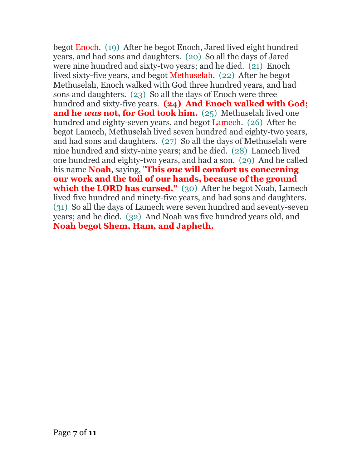begot Enoch. (19) After he begot Enoch, Jared lived eight hundred years, and had sons and daughters. (20) So all the days of Jared were nine hundred and sixty-two years; and he died. (21) Enoch lived sixty-five years, and begot Methuselah. (22) After he begot Methuselah, Enoch walked with God three hundred years, and had sons and daughters. (23) So all the days of Enoch were three hundred and sixty-five years. **(24) And Enoch walked with God; and he** *was* **not, for God took him.** (25) Methuselah lived one hundred and eighty-seven years, and begot Lamech. (26) After he begot Lamech, Methuselah lived seven hundred and eighty-two years, and had sons and daughters. (27) So all the days of Methuselah were nine hundred and sixty-nine years; and he died. (28) Lamech lived one hundred and eighty-two years, and had a son. (29) And he called his name **Noah**, saying, "**This** *one* **will comfort us concerning our work and the toil of our hands, because of the ground which the LORD has cursed."** (30) After he begot Noah, Lamech lived five hundred and ninety-five years, and had sons and daughters. (31) So all the days of Lamech were seven hundred and seventy-seven years; and he died. (32) And Noah was five hundred years old, and **Noah begot Shem, Ham, and Japheth.**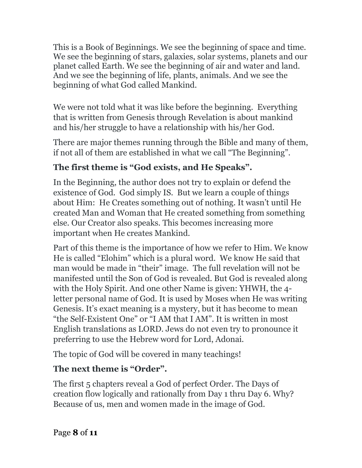This is a Book of Beginnings. We see the beginning of space and time. We see the beginning of stars, galaxies, solar systems, planets and our planet called Earth. We see the beginning of air and water and land. And we see the beginning of life, plants, animals. And we see the beginning of what God called Mankind.

We were not told what it was like before the beginning. Everything that is written from Genesis through Revelation is about mankind and his/her struggle to have a relationship with his/her God.

There are major themes running through the Bible and many of them, if not all of them are established in what we call "The Beginning".

# **The first theme is "God exists, and He Speaks".**

In the Beginning, the author does not try to explain or defend the existence of God. God simply IS. But we learn a couple of things about Him: He Creates something out of nothing. It wasn't until He created Man and Woman that He created something from something else. Our Creator also speaks. This becomes increasing more important when He creates Mankind.

Part of this theme is the importance of how we refer to Him. We know He is called "Elohim" which is a plural word. We know He said that man would be made in "their" image. The full revelation will not be manifested until the Son of God is revealed. But God is revealed along with the Holy Spirit. And one other Name is given: YHWH, the 4 letter personal name of God. It is used by Moses when He was writing Genesis. It's exact meaning is a mystery, but it has become to mean "the Self-Existent One" or "I AM that I AM". It is written in most English translations as LORD. Jews do not even try to pronounce it preferring to use the Hebrew word for Lord, Adonai.

The topic of God will be covered in many teachings!

# **The next theme is "Order".**

The first 5 chapters reveal a God of perfect Order. The Days of creation flow logically and rationally from Day 1 thru Day 6. Why? Because of us, men and women made in the image of God.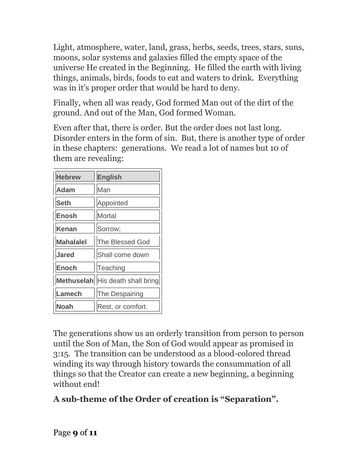Light, atmosphere, water, land, grass, herbs, seeds, trees, stars, suns, moons, solar systems and galaxies filled the empty space of the universe He created in the Beginning. He filled the earth with living things, animals, birds, foods to eat and waters to drink. Everything was in it's proper order that would be hard to deny.

Finally, when all was ready, God formed Man out of the dirt of the ground. And out of the Man, God formed Woman.

Even after that, there is order. But the order does not last long. Disorder enters in the form of sin. But, there is another type of order in these chapters: generations. We read a lot of names but 10 of them are revealing:

| <b>Hebrew</b>    | <b>English</b>                   |
|------------------|----------------------------------|
| Adam             | Man                              |
| <b>Seth</b>      | Appointed                        |
| <b>Enosh</b>     | <b>Mortal</b>                    |
| Kenan            | Sorrow;                          |
| <b>Mahalalel</b> | The Blessed God                  |
| <b>Jared</b>     | Shall come down                  |
| <b>Enoch</b>     | Teaching                         |
|                  | Methuselah His death shall bring |
| Lamech           | The Despairing                   |
| Noah             | Rest, or comfort.                |

The generations show us an orderly transition from person to person until the Son of Man, the Son of God would appear as promised in 3:15. The transition can be understood as a blood-colored thread winding its way through history towards the consummation of all things so that the Creator can create a new beginning, a beginning without end!

# **A sub-theme of the Order of creation is "Separation".**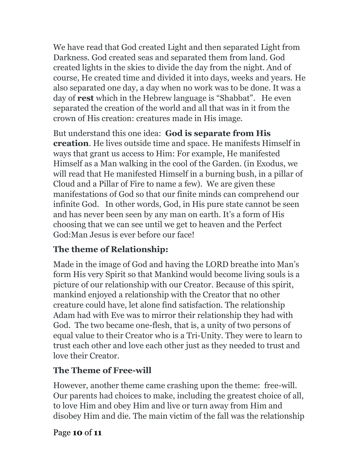We have read that God created Light and then separated Light from Darkness. God created seas and separated them from land. God created lights in the skies to divide the day from the night. And of course, He created time and divided it into days, weeks and years. He also separated one day, a day when no work was to be done. It was a day of **rest** which in the Hebrew language is "Shabbat". He even separated the creation of the world and all that was in it from the crown of His creation: creatures made in His image.

But understand this one idea: **God is separate from His creation**. He lives outside time and space. He manifests Himself in ways that grant us access to Him: For example, He manifested Himself as a Man walking in the cool of the Garden. (in Exodus, we will read that He manifested Himself in a burning bush, in a pillar of Cloud and a Pillar of Fire to name a few). We are given these manifestations of God so that our finite minds can comprehend our infinite God. In other words, God, in His pure state cannot be seen and has never been seen by any man on earth. It's a form of His choosing that we can see until we get to heaven and the Perfect God:Man Jesus is ever before our face!

### **The theme of Relationship:**

Made in the image of God and having the LORD breathe into Man's form His very Spirit so that Mankind would become living souls is a picture of our relationship with our Creator. Because of this spirit, mankind enjoyed a relationship with the Creator that no other creature could have, let alone find satisfaction. The relationship Adam had with Eve was to mirror their relationship they had with God. The two became one-flesh, that is, a unity of two persons of equal value to their Creator who is a Tri-Unity. They were to learn to trust each other and love each other just as they needed to trust and love their Creator.

### **The Theme of Free-will**

However, another theme came crashing upon the theme: free-will. Our parents had choices to make, including the greatest choice of all, to love Him and obey Him and live or turn away from Him and disobey Him and die. The main victim of the fall was the relationship